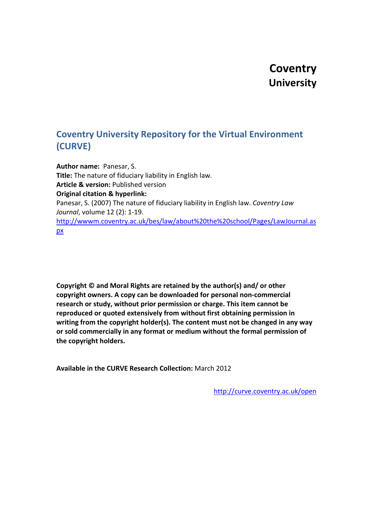# **Coventry University**

# **Coventry University Repository for the Virtual Environment (CURVE)**

**Author name:** Panesar, S. **Title:** The nature of fiduciary liability in English law. **Article & version:** Published version **Original citation & hyperlink:** Panesar, S. (2007) The nature of fiduciary liability in English law. *Coventry Law Journal*, volume 12 (2): 1-19. [http://wwwm.coventry.ac.uk/bes/law/about%20the%20school/Pages/LawJournal.as](http://wwwm.coventry.ac.uk/bes/law/about%20the%20school/Pages/LawJournal.aspx) [px](http://wwwm.coventry.ac.uk/bes/law/about%20the%20school/Pages/LawJournal.aspx)

**Copyright © and Moral Rights are retained by the author(s) and/ or other copyright owners. A copy can be downloaded for personal non-commercial research or study, without prior permission or charge. This item cannot be reproduced or quoted extensively from without first obtaining permission in writing from the copyright holder(s). The content must not be changed in any way or sold commercially in any format or medium without the formal permission of the copyright holders.**

**Available in the CURVE Research Collection:** March 2012

<http://curve.coventry.ac.uk/open>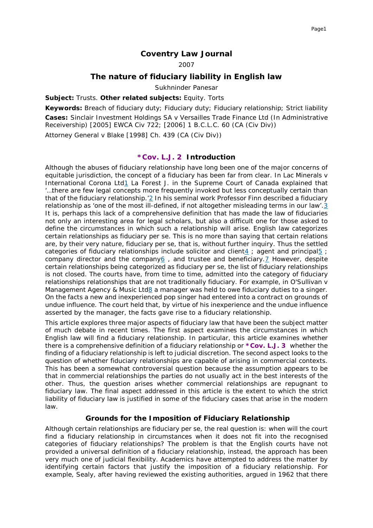# **Coventry Law Journal**

2007

### **The nature of fiduciary liability in English law**

Sukhninder Panesar

**Subject:** Trusts. **Other related subjects:** Equity. Torts

**Keywords:** Breach of fiduciary duty; Fiduciary duty; Fiduciary relationship; Strict liability **Cases:** Sinclair Investment Holdings SA v Versailles Trade Finance Ltd (In Administrative Receivership) [2005] EWCA Civ 722; [2006] 1 B.C.L.C. 60 (CA (Civ Div)) Attorney General v Blake [1998] Ch. 439 (CA (Civ Div))

#### *\*Cov. L.J. 2* **Introduction**

Although the abuses of fiduciary relationship have long been one of the major concerns of equitable jurisdiction, the concept of a fiduciary has been far from clear. In *Lac Minerals v International Corona Ltd*[1](#page-10-0) La Forest J. in the Supreme Court of Canada explained that '…there are few legal concepts more frequently invoked but less conceptually certain than that of the fiduciary relationship.['2](#page-10-1) In his seminal work Professor Finn described a fiduciary relationship as 'one of the most ill-defined, if not altogether misleading terms in our law'[.3](#page-10-2) It is, perhaps this lack of a comprehensive definition that has made the law of fiduciaries not only an interesting area for legal scholars, but also a difficult one for those asked to define the circumstances in which such a relationship will arise. English law categorizes certain relationships as fiduciary *per se.* This is no more than saying that certain relations are, by their very nature, fiduciary per se, that is, without further inquiry. Thus the settled categories of fiduciary relationships include solicitor and clien[t4](#page-10-3) ; agent and principa[l5](#page-10-4) ; company director and the company $6$ , and trustee and beneficiary.  $7$  However, despite certain relationships being categorized as fiduciary *per se,* the list of fiduciary relationships is not closed. The courts have, from time to time, admitted into the category of fiduciary relationships relationships that are not traditionally fiduciary. For example, in *O'Sullivan v Management Agency & Music Ltd*<sup>[8](#page-10-7)</sup> a manager was held to owe fiduciary duties to a singer. On the facts a new and inexperienced pop singer had entered into a contract on grounds of undue influence. The court held that, by virtue of his inexperience and the undue influence asserted by the manager, the facts gave rise to a fiduciary relationship.

This article explores three major aspects of fiduciary law that have been the subject matter of much debate in recent times. The first aspect examines the circumstances in which English law will find a fiduciary relationship. In particular, this article examines whether there is a comprehensive definition of a fiduciary relationship or *\*Cov. L.J. 3* whether the finding of a fiduciary relationship is left to judicial discretion. The second aspect looks to the question of whether fiduciary relationships are capable of arising in commercial contexts. This has been a somewhat controversial question because the assumption appears to be that in commercial relationships the parties do not usually act in the best interests of the other. Thus, the question arises whether commercial relationships are repugnant to fiduciary law. The final aspect addressed in this article is the extent to which the strict liability of fiduciary law is justified in some of the fiduciary cases that arise in the modern law.

# **Grounds for the Imposition of Fiduciary Relationship**

Although certain relationships are fiduciary *per se,* the real question is: when will the court find a fiduciary relationship in circumstances when it does not fit into the recognised categories of fiduciary relationships? The problem is that the English courts have not provided a universal definition of a fiduciary relationship, instead, the approach has been very much one of judicial flexibility. Academics have attempted to address the matter by identifying certain factors that justify the imposition of a fiduciary relationship. For example, Sealy, after having reviewed the existing authorities, argued in 1962 that there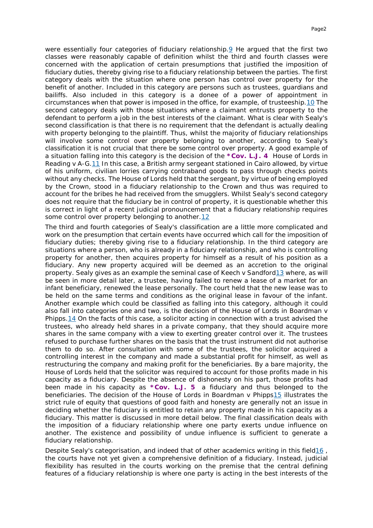were essentially four categories of fiduciary relationship[.9](#page-10-8) He argued that the first two classes were reasonably capable of definition whilst the third and fourth classes were concerned with the application of certain presumptions that justified the imposition of fiduciary duties, thereby giving rise to a fiduciary relationship between the parties. The first category deals with the situation where one person has control over property for the benefit of another. Included in this category are persons such as trustees, guardians and bailiffs. Also included in this category is a donee of a power of appointment in circumstances when that power is imposed in the office, for example, of trusteeship[.10](#page-10-9) The second category deals with those situations where a claimant entrusts property to the defendant to perform a job in the best interests of the claimant. What is clear with Sealy's second classification is that there is no requirement that the defendant is actually dealing with property belonging to the plaintiff. Thus, whilst the majority of fiduciary relationships will involve some control over property belonging to another, according to Sealy's classification it is not crucial that there be some control over property. A good example of a situation falling into this category is the decision of the *\*Cov. L.J. 4* House of Lords in *Reading v A-G.*[11](#page-10-10) In this case, a British army sergeant stationed in Cairo allowed, by virtue of his uniform, civilian lorries carrying contraband goods to pass through checks points without any checks. The House of Lords held that the sergeant, by virtue of being employed by the Crown, stood in a fiduciary relationship to the Crown and thus was required to account for the bribes he had received from the smugglers. Whilst Sealy's second category does not require that the fiduciary be in control of property, it is questionable whether this is correct in light of a recent judicial pronouncement that a fiduciary relationship requires some control over property belonging to another[.12](#page-10-11)

The third and fourth categories of Sealy's classification are a little more complicated and work on the presumption that certain events have occurred which call for the imposition of fiduciary duties; thereby giving rise to a fiduciary relationship. In the third category are situations where a person, who is already in a fiduciary relationship, and who is controlling property for another, then acquires property for himself as a result of his position as a fiduciary. Any new property acquired will be deemed as an accretion to the original property. Sealy gives as an example the seminal case of *Keech v Sandford*[13](#page-11-0) where, as will be seen in more detail later, a trustee, having failed to renew a lease of a market for an infant beneficiary, renewed the lease personally. The court held that the new lease was to be held on the same terms and conditions as the original lease in favour of the infant. Another example which could be classified as falling into this category, although it could also fall into categories one and two, is the decision of the House of Lords in *Boardman v Phipps.*[14](#page-11-1) On the facts of this case, a solicitor acting in connection with a trust advised the trustees, who already held shares in a private company, that they should acquire more shares in the same company with a view to exerting greater control over it. The trustees refused to purchase further shares on the basis that the trust instrument did not authorise them to do so. After consultation with some of the trustees, the solicitor acquired a controlling interest in the company and made a substantial profit for himself, as well as restructuring the company and making profit for the beneficiaries. By a bare majority, the House of Lords held that the solicitor was required to account for those profits made in his capacity as a fiduciary. Despite the absence of dishonesty on his part, those profits had been made in his capacity as *\*Cov. L.J. 5* a fiduciary and thus belonged to the beneficiaries. The decision of the House of Lords in *Boardman v Phipps*[15](#page-11-2) illustrates the strict rule of equity that questions of good faith and honesty are generally not an issue in deciding whether the fiduciary is entitled to retain any property made in his capacity as a fiduciary. This matter is discussed in more detail below. The final classification deals with the imposition of a fiduciary relationship where one party exerts undue influence on another. The existence and possibility of undue influence is sufficient to generate a fiduciary relationship.

Despite Sealy's categorisation, and indeed that of other academics writing in this fiel[d16](#page-11-3), the courts have not yet given a comprehensive definition of a fiduciary. Instead, judicial flexibility has resulted in the courts working on the premise that the central defining features of a fiduciary relationship is where one party is acting in the best interests of the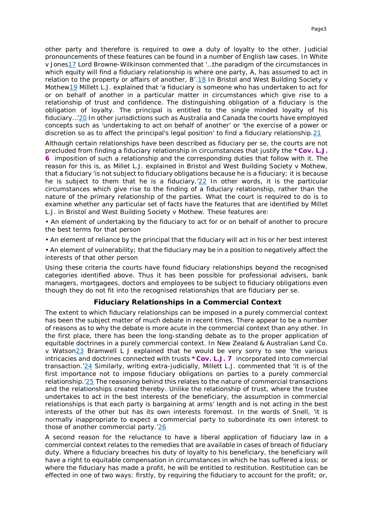other party and therefore is required to owe a duty of loyalty to the other. Judicial pronouncements of these features can be found in a number of English law cases. In *White v Jones*[17](#page-11-4) Lord Browne-Wilkinson commented that '…the paradigm of the circumstances in which equity will find a fiduciary relationship is where one party, A, has assumed to act in relation to the property or affairs of another, B'[.18](#page-11-5) In *Bristol and West Building Society v Mothew*[19](#page-11-6) Millett L.J. explained that 'a fiduciary is someone who has undertaken to act for or on behalf of another in a particular matter in circumstances which give rise to a relationship of trust and confidence. The distinguishing obligation of a fiduciary is the obligation of loyalty. The principal is entitled to the single minded loyalty of his fiduciary…['20](#page-11-7) In other jurisdictions such as Australia and Canada the courts have employed concepts such as 'undertaking to act on behalf of another' or 'the exercise of a power or discretion so as to affect the principal's legal position' to find a fiduciary relationship. 21

Although certain relationships have been described as fiduciary per se, the courts are not precluded from finding a fiduciary relationship in circumstances that justify the *\*Cov. L.J. 6* imposition of such a relationship and the corresponding duties that follow with it. The reason for this is, as Millet L.J. explained in *Bristol and West Building Society v Mothew,* that a fiduciary 'is not subject to fiduciary obligations because he is a fiduciary; it is because he is subject to them that he is a fiduciary.' $22$  In other words, it is the particular circumstances which give rise to the finding of a fiduciary relationship, rather than the nature of the primary relationship of the parties. What the court is required to do is to examine whether any particular set of facts have the features that are identified by Millet L.J. in *Bristol and West Building Society v Mothew.* These features are:

• An element of undertaking by the fiduciary to act for or on behalf of another to procure the best terms for that person

- An element of reliance by the principal that the fiduciary will act in his or her best interest
- An element of vulnerability; that the fiduciary may be in a position to negatively affect the interests of that other person

Using these criteria the courts have found fiduciary relationships beyond the recognised categories identified above. Thus it has been possible for professional advisers, bank managers, mortgagees, doctors and employees to be subject to fiduciary obligations even though they do not fit into the recognised relationships that are fiduciary *per se.*

#### **Fiduciary Relationships in a Commercial Context**

The extent to which fiduciary relationships can be imposed in a purely commercial context has been the subject matter of much debate in recent times. There appear to be a number of reasons as to why the debate is more acute in the commercial context than any other. In the first place, there has been the long-standing debate as to the proper application of equitable doctrines in a purely commercial context. In *New Zealand & Australian Land Co. v Watson*[23](#page-11-10) Bramwell L J explained that he would be very sorry to see 'the various intricacies and doctrines connected with trusts *\*Cov. L.J. 7* incorporated into commercial transaction.['24](#page-11-11) Similarly, writing extra-judicially, Millett L.J. commented that 'it is of the first importance not to impose fiduciary obligations on parties to a purely commercial relationship.['25](#page-11-12) The reasoning behind this relates to the nature of commercial transactions and the relationships created thereby. Unlike the relationship of trust, where the trustee undertakes to act in the best interests of the beneficiary, the assumption in commercial relationships is that each party is bargaining at arms' length and is not acting in the best interests of the other but has its own interests foremost. In the words of Snell, 'it is normally inappropriate to expect a commercial party to subordinate its own interest to those of another commercial party.['26](#page-11-13)

A second reason for the reluctance to have a liberal application of fiduciary law in a commercial context relates to the remedies that are available in cases of breach of fiduciary duty. Where a fiduciary breaches his duty of loyalty to his beneficiary, the beneficiary will have a right to equitable compensation in circumstances in which he has suffered a loss; or where the fiduciary has made a profit, he will be entitled to restitution. Restitution can be effected in one of two ways: firstly, by requiring the fiduciary to account for the profit; or,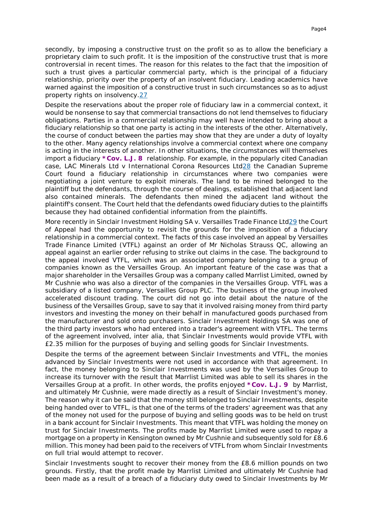secondly, by imposing a constructive trust on the profit so as to allow the beneficiary a proprietary claim to such profit. It is the imposition of the constructive trust that is more controversial in recent times. The reason for this relates to the fact that the imposition of such a trust gives a particular commercial party, which is the principal of a fiduciary relationship, priority over the property of an insolvent fiduciary. Leading academics have warned against the imposition of a constructive trust in such circumstances so as to adjust property rights on insolvency[.27](#page-11-14)

Despite the reservations about the proper role of fiduciary law in a commercial context, it would be nonsense to say that commercial transactions do not lend themselves to fiduciary obligations. Parties in a commercial relationship may well have intended to bring about a fiduciary relationship so that one party is acting in the interests of the other. Alternatively, the course of conduct between the parties may show that they are under a duty of loyalty to the other. Many agency relationships involve a commercial context where one company is acting in the interests of another. In other situations, the circumstances will themselves import a fiduciary *\*Cov. L.J. 8* relationship. For example, in the popularly cited Canadian case, *LAC Minerals Ltd v International Corona Resources Ltd*[28](#page-11-15) the Canadian Supreme Court found a fiduciary relationship in circumstances where two companies were negotiating a joint venture to exploit minerals. The land to be mined belonged to the plaintiff but the defendants, through the course of dealings, established that adjacent land also contained minerals. The defendants then mined the adjacent land without the plaintiff's consent. The Court held that the defendants owed fiduciary duties to the plaintiffs because they had obtained confidential information from the plaintiffs.

More recently in *Sinclair Investment Holding SA v. Versailles Trade Finance Ltd*[29](#page-11-16) the Court of Appeal had the opportunity to revisit the grounds for the imposition of a fiduciary relationship in a commercial context. The facts of this case involved an appeal by Versailles Trade Finance Limited (VTFL) against an order of Mr Nicholas Strauss QC, allowing an appeal against an earlier order refusing to strike out claims in the case. The background to the appeal involved VTFL, which was an associated company belonging to a group of companies known as the Versailles Group. An important feature of the case was that a major shareholder in the Versailles Group was a company called Marrlist Limited, owned by Mr Cushnie who was also a director of the companies in the Versailles Group. VTFL was a subsidiary of a listed company, Versailles Group PLC. The business of the group involved accelerated discount trading. The court did not go into detail about the nature of the business of the Versailles Group, save to say that it involved raising money from third party investors and investing the money on their behalf in manufactured goods purchased from the manufacturer and sold onto purchasers. Sinclair Investment Holdings SA was one of the third party investors who had entered into a trader's agreement with VTFL. The terms of the agreement involved, *inter alia,* that Sinclair Investments would provide VTFL with £2.35 million for the purposes of buying and selling goods for Sinclair Investments.

Despite the terms of the agreement between Sinclair Investments and VTFL, the monies advanced by Sinclair Investments were not used in accordance with that agreement. In fact, the money belonging to Sinclair Investments was used by the Versailles Group to increase its turnover with the result that Marrlist Limited was able to sell its shares in the Versailles Group at a profit. In other words, the profits enjoyed *\*Cov. L.J. 9* by Marrlist, and ultimately Mr Cushnie, were made directly as a result of Sinclair Investment's money. The reason why it can be said that the money still belonged to Sinclair Investments, despite being handed over to VTFL, is that one of the terms of the traders' agreement was that any of the money not used for the purpose of buying and selling goods was to be held on trust in a bank account for Sinclair Investments. This meant that VTFL was holding the money on trust for Sinclair Investments. The profits made by Marrlist Limited were used to repay a mortgage on a property in Kensington owned by Mr Cushnie and subsequently sold for £8.6 million. This money had been paid to the receivers of VTFL from whom Sinclair Investments on full trial would attempt to recover.

Sinclair Investments sought to recover their money from the £8.6 million pounds on two grounds. Firstly, that the profit made by Marrlist Limited and ultimately Mr Cushnie had been made as a result of a breach of a fiduciary duty owed to Sinclair Investments by Mr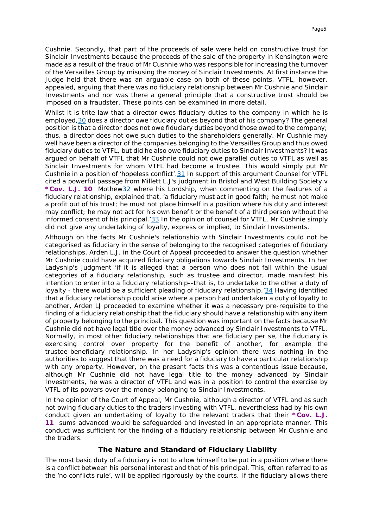Cushnie. Secondly, that part of the proceeds of sale were held on constructive trust for Sinclair Investments because the proceeds of the sale of the property in Kensington were made as a result of the fraud of Mr Cushnie who was responsible for increasing the turnover of the Versailles Group by misusing the money of Sinclair Investments. At first instance the Judge held that there was an arguable case on both of these points. VTFL, however, appealed, arguing that there was no fiduciary relationship between Mr Cushnie and Sinclair Investments and nor was there a general principle that a constructive trust should be imposed on a fraudster. These points can be examined in more detail.

Whilst it is trite law that a director owes fiduciary duties to the company in which he is employed[,30](#page-11-17) does a director owe fiduciary duties beyond that of his company? The general position is that a director does not owe fiduciary duties beyond those owed to the company; thus, a director does not owe such duties to the shareholders generally. Mr Cushnie may well have been a director of the companies belonging to the Versailles Group and thus owed fiduciary duties to VTFL, but did he also owe fiduciary duties to Sinclair Investments? It was argued on behalf of VTFL that Mr Cushnie could not owe parallel duties to VTFL as well as Sinclair Investments for whom VTFL had become a trustee. This would simply put Mr Cushnie in a position of 'hopeless conflict'[.31](#page-11-18) In support of this argument Counsel for VTFL cited a powerful passage from Millett L.J's judgment in *Bristol and West Building Society v \*Cov. L.J. 10 Mothew*[32](#page-11-19) where his Lordship, when commenting on the features of a fiduciary relationship, explained that, 'a fiduciary must act in good faith; he must not make a profit out of his trust; he must not place himself in a position where his duty and interest may conflict; he may not act for his own benefit or the benefit of a third person without the informed consent of his principal.['33](#page-12-0) In the opinion of counsel for VTFL, Mr Cushnie simply did not give any undertaking of loyalty, express or implied, to Sinclair Investments.

Although on the facts Mr Cushnie's relationship with Sinclair Investments could not be categorised as fiduciary in the sense of belonging to the recognised categories of fiduciary relationships, Arden L.J. in the Court of Appeal proceeded to answer the question whether Mr Cushnie could have acquired fiduciary obligations towards Sinclair Investments. In her Ladyship's judgment 'if it is alleged that a person who does not fall within the usual categories of a fiduciary relationship, such as trustee and director, made manifest his intention to enter into a fiduciary relationship--that is, to undertake to the other a duty of loyalty - there would be a sufficient pleading of fiduciary relationship.['34](#page-12-1) Having identified that a fiduciary relationship could arise where a person had undertaken a duty of loyalty to another, Arden LJ proceeded to examine whether it was a necessary pre-requisite to the finding of a fiduciary relationship that the fiduciary should have a relationship with any item of property belonging to the principal. This question was important on the facts because Mr Cushnie did not have legal title over the money advanced by Sinclair Investments to VTFL. Normally, in most other fiduciary relationships that are fiduciary *per se,* the fiduciary is exercising control over property for the benefit of another, for example the trustee-beneficiary relationship. In her Ladyship's opinion there was nothing in the authorities to suggest that there was a need for a fiduciary to have a particular relationship with any property. However, on the present facts this was a contentious issue because, although Mr Cushnie did not have legal title to the money advanced by Sinclair Investments, he was a director of VTFL and was in a position to control the exercise by VTFL of its powers over the money belonging to Sinclair Investments.

In the opinion of the Court of Appeal, Mr Cushnie, although a director of VTFL and as such not owing fiduciary duties to the traders investing with VTFL, nevertheless had by his own conduct given an undertaking of loyalty to the relevant traders that their *\*Cov. L.J. 11* sums advanced would be safeguarded and invested in an appropriate manner. This conduct was sufficient for the finding of a fiduciary relationship between Mr Cushnie and the traders.

# **The Nature and Standard of Fiduciary Liability**

The most basic duty of a fiduciary is not to allow himself to be put in a position where there is a conflict between his personal interest and that of his principal. This, often referred to as the 'no conflicts rule', will be applied rigorously by the courts. If the fiduciary allows there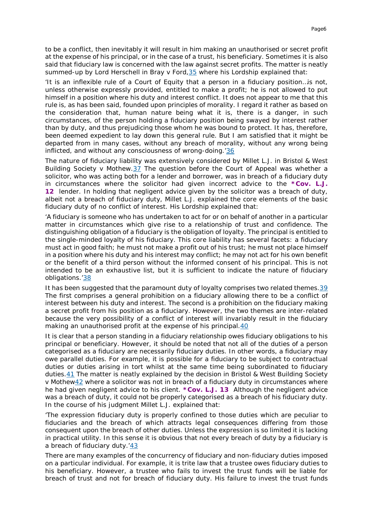to be a conflict, then inevitably it will result in him making an unauthorised or secret profit at the expense of his principal, or in the case of a trust, his beneficiary. Sometimes it is also said that fiduciary law is concerned with the law against secret profits. The matter is neatly summed-up by Lord Herschell in *Bray v Ford,*[35](#page-12-2) where his Lordship explained that:

'It is an inflexible rule of a Court of Equity that a person in a fiduciary position…is not, unless otherwise expressly provided, entitled to make a profit; he is not allowed to put himself in a position where his duty and interest conflict. It does not appear to me that this rule is, as has been said, founded upon principles of morality. I regard it rather as based on the consideration that, human nature being what it is, there is a danger, in such circumstances, of the person holding a fiduciary position being swayed by interest rather than by duty, and thus prejudicing those whom he was bound to protect. It has, therefore, been deemed expedient to lay down this general rule. But I am satisfied that it might be departed from in many cases, without any breach of morality, without any wrong being inflicted, and without any consciousness of wrong-doing[.'36](#page-12-3)

The nature of fiduciary liability was extensively considered by Millet L.J. in *Bristol & West Building Society v Mothew.*[37](#page-12-4) The question before the Court of Appeal was whether a solicitor, who was acting both for a lender and borrower, was in breach of a fiduciary duty in circumstances where the solicitor had given incorrect advice to the *\*Cov. L.J. 12* lender. In holding that negligent advice given by the solicitor was a breach of duty, albeit not a breach of fiduciary duty, Millet L.J. explained the core elements of the basic fiduciary duty of no conflict of interest. His Lordship explained that:

'A fiduciary is someone who has undertaken to act for or on behalf of another in a particular matter in circumstances which give rise to a relationship of trust and confidence. The distinguishing obligation of a fiduciary is the obligation of loyalty. The principal is entitled to the single-minded loyalty of his fiduciary. This core liability has several facets: a fiduciary must act in good faith; he must not make a profit out of his trust; he must not place himself in a position where his duty and his interest may conflict; he may not act for his own benefit or the benefit of a third person without the informed consent of his principal. This is not intended to be an exhaustive list, but it is sufficient to indicate the nature of fiduciary obligations.['38](#page-12-5)

It has been suggested that the paramount duty of loyalty comprises two related themes. 39 The first comprises a general prohibition on a fiduciary allowing there to be a conflict of interest between his duty and interest. The second is a prohibition on the fiduciary making a secret profit from his position as a fiduciary. However, the two themes are inter-related because the very possibility of a conflict of interest will invariably result in the fiduciary making an unauthorised profit at the expense of his principal. 40

It is clear that a person standing in a fiduciary relationship owes fiduciary obligations to his principal or beneficiary. However, it should be noted that not all of the duties of a person categorised as a fiduciary are necessarily fiduciary duties. In other words, a fiduciary may owe parallel duties. For example, it is possible for a fiduciary to be subject to contractual duties or duties arising in tort whilst at the same time being subordinated to fiduciary duties[.41](#page-12-8) The matter is neatly explained by the decision in *Bristol & West Building Society v Mothew*[42](#page-12-9) where a solicitor was not in breach of a fiduciary duty in circumstances where he had given negligent advice to his client. *\*Cov. L.J. 13* Although the negligent advice was a breach of duty, it could not be properly categorised as a breach of his fiduciary duty. In the course of his judgment Millet L.J. explained that:

'The expression fiduciary duty is properly confined to those duties which are peculiar to fiduciaries and the breach of which attracts legal consequences differing from those consequent upon the breach of other duties. Unless the expression is so limited it is lacking in practical utility. In this sense it is obvious that not every breach of duty by a fiduciary is a breach of fiduciary duty. $43$ 

There are many examples of the concurrency of fiduciary and non-fiduciary duties imposed on a particular individual. For example, it is trite law that a trustee owes fiduciary duties to his beneficiary. However, a trustee who fails to invest the trust funds will be liable for breach of trust and not for breach of fiduciary duty. His failure to invest the trust funds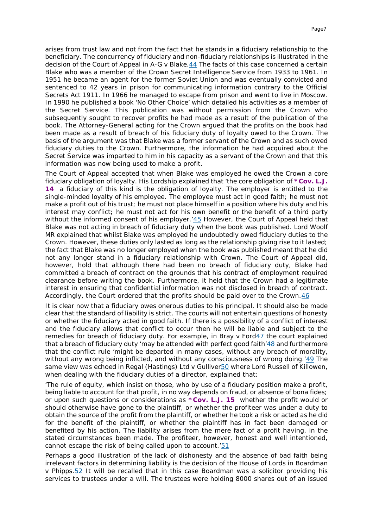arises from trust law and not from the fact that he stands in a fiduciary relationship to the beneficiary. The concurrency of fiduciary and non-fiduciary relationships is illustrated in the decision of the Court of Appeal in *A-G v Blake.*[44](#page-12-11) The facts of this case concerned a certain Blake who was a member of the Crown Secret Intelligence Service from 1933 to 1961. In 1951 he became an agent for the former Soviet Union and was eventually convicted and sentenced to 42 years in prison for communicating information contrary to the Official Secrets Act 1911. In 1966 he managed to escape from prison and went to live in Moscow. In 1990 he published a book 'No Other Choice' which detailed his activities as a member of the Secret Service. This publication was without permission from the Crown who subsequently sought to recover profits he had made as a result of the publication of the book. The Attorney-General acting for the Crown argued that the profits on the book had been made as a result of breach of his fiduciary duty of loyalty owed to the Crown. The basis of the argument was that Blake was a former servant of the Crown and as such owed fiduciary duties to the Crown. Furthermore, the information he had acquired about the Secret Service was imparted to him in his capacity as a servant of the Crown and that this information was now being used to make a profit.

The Court of Appeal accepted that when Blake was employed he owed the Crown a core fiduciary obligation of loyalty. His Lordship explained that 'the core obligation of *\*Cov. L.J. 14* a fiduciary of this kind is the obligation of loyalty. The employer is entitled to the single-minded loyalty of his employee. The employee must act in good faith; he must not make a profit out of his trust; he must not place himself in a position where his duty and his interest may conflict; he must not act for his own benefit or the benefit of a third party without the informed consent of his employer.['45](#page-12-12) However, the Court of Appeal held that Blake was not acting in breach of fiduciary duty when the book was published. Lord Woolf MR explained that whilst Blake was employed he undoubtedly owed fiduciary duties to the Crown. However, these duties only lasted as long as the relationship giving rise to it lasted; the fact that Blake was no longer employed when the book was published meant that he did not any longer stand in a fiduciary relationship with Crown. The Court of Appeal did, however, hold that although there had been no breach of fiduciary duty, Blake had committed a breach of contract on the grounds that his contract of employment required clearance before writing the book. Furthermore, it held that the Crown had a legitimate interest in ensuring that confidential information was not disclosed in breach of contract. Accordingly, the Court ordered that the profits should be paid over to the Crown. 46

It is clear now that a fiduciary owes onerous duties to his principal. It should also be made clear that the standard of liability is strict. The courts will not entertain questions of honesty or whether the fiduciary acted in good faith. If there is a possibility of a conflict of interest and the fiduciary allows that conflict to occur then he will be liable and subject to the remedies for breach of fiduciary duty. For example, in *Bray v Ford*[47](#page-12-14) the court explained that a breach of fiduciary duty 'may be attended with perfect good faith['48](#page-12-15) and furthermore that the conflict rule 'might be departed in many cases, without any breach of morality, without any wrong being inflicted, and without any consciousness of wrong doing. $49$  The same view was echoed in *Regal (Hastings) Ltd v Gulliver*[50](#page-12-17) where Lord Russell of Killowen, when dealing with the fiduciary duties of a director, explained that:

'The rule of equity, which insist on those, who by use of a fiduciary position make a profit, being liable to account for that profit, in no way depends on fraud, or absence of bona fides; or upon such questions or considerations as *\*Cov. L.J. 15* whether the profit would or should otherwise have gone to the plaintiff, or whether the profiteer was under a duty to obtain the source of the profit from the plaintiff, or whether he took a risk or acted as he did for the benefit of the plaintiff, or whether the plaintiff has in fact been damaged or benefited by his action. The liability arises from the mere fact of a profit having, in the stated circumstances been made. The profiteer, however, honest and well intentioned, cannot escape the risk of being called upon to account.'<sup>51</sup>

Perhaps a good illustration of the lack of dishonesty and the absence of bad faith being irrelevant factors in determining liability is the decision of the House of Lords in *Boardman v Phipps.*[52](#page-12-19) It will be recalled that in this case Boardman was a solicitor providing his services to trustees under a will. The trustees were holding 8000 shares out of an issued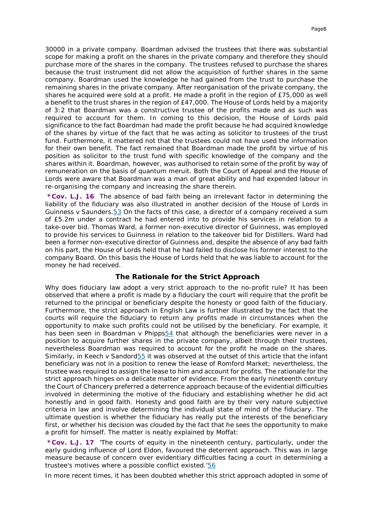30000 in a private company. Boardman advised the trustees that there was substantial scope for making a profit on the shares in the private company and therefore they should purchase more of the shares in the company. The trustees refused to purchase the shares because the trust instrument did not allow the acquisition of further shares in the same company. Boardman used the knowledge he had gained from the trust to purchase the remaining shares in the private company. After reorganisation of the private company, the shares he acquired were sold at a profit. He made a profit in the region of £75,000 as well a benefit to the trust shares in the region of £47,000. The House of Lords held by a majority of 3:2 that Boardman was a constructive trustee of the profits made and as such was required to account for them. In coming to this decision, the House of Lords paid significance to the fact Boardman had made the profit because he had acquired knowledge of the shares by virtue of the fact that he was acting as solicitor to trustees of the trust fund. Furthermore, it mattered not that the trustees could not have used the information for their own benefit. The fact remained that Boardman made the profit by virtue of his position as solicitor to the trust fund with specific knowledge of the company and the shares within it. Boardman, however, was authorised to retain some of the profit by way of remuneration on the basis of *quantum meruit.* Both the Court of Appeal and the House of Lords were aware that Boardman was a man of great ability and had expended labour in re-organising the company and increasing the share therein.

*\*Cov. L.J. 16* The absence of bad faith being an irrelevant factor in determining the liability of the fiduciary was also illustrated in another decision of the House of Lords in *Guinness v Saunders.*[53](#page-12-20) On the facts of this case, a director of a company received a sum of £5.2m under a contract he had entered into to provide his services in relation to a take-over bid. Thomas Ward, a former non-executive director of Guinness, was employed to provide his services to Guinness in relation to the takeover bid for Distillers. Ward had been a former non-executive director of Guinness and, despite the absence of any bad faith on his part, the House of Lords held that he had failed to disclose his former interest to the company Board. On this basis the House of Lords held that he was liable to account for the money he had received.

#### **The Rationale for the Strict Approach**

Why does fiduciary law adopt a very strict approach to the no-profit rule? It has been observed that where a profit is made by a fiduciary the court will require that the profit be returned to the principal or beneficiary despite the honesty or good faith of the fiduciary. Furthermore, the strict approach in English Law is further illustrated by the fact that the courts will require the fiduciary to return any profits made in circumstances when the opportunity to make such profits could not be utilised by the beneficiary. For example, it has been seen in *Boardman v Phipps*[54](#page-13-0) that although the beneficiaries were never in a position to acquire further shares in the private company, albeit through their trustees, nevertheless Boardman was required to account for the profit he made on the shares. Similarly, in *Keech v Sandord*[55](#page-13-1) it was observed at the outset of this article that the infant beneficiary was not in a position to renew the lease of Romford Market; nevertheless, the trustee was required to assign the lease to him and account for profits. The rationale for the strict approach hinges on a delicate matter of evidence. From the early nineteenth century the Court of Chancery preferred a deterrence approach because of the evidential difficulties involved in determining the motive of the fiduciary and establishing whether he did act honestly and in good faith. Honesty and good faith are by their very nature subjective criteria in law and involve determining the individual state of mind of the fiduciary. The ultimate question is whether the fiduciary has really put the interests of the beneficiary first, or whether his decision was clouded by the fact that he sees the opportunity to make a profit for himself. The matter is neatly explained by Moffat:

*\*Cov. L.J. 17* 'The courts of equity in the nineteenth century, particularly, under the early guiding influence of Lord Eldon, favoured the deterrent approach. This was in large measure because of concern over evidentiary difficulties facing a court in determining a trustee's motives where a possible conflict existed.['56](#page-13-2)

In more recent times, it has been doubted whether this strict approach adopted in some of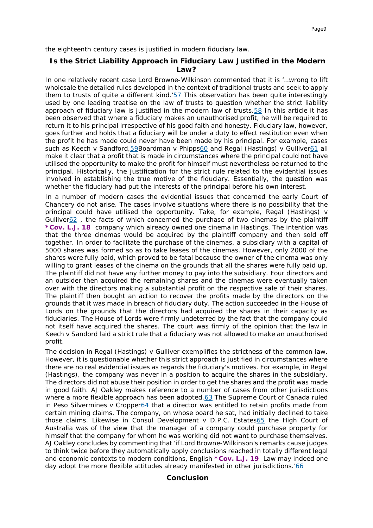the eighteenth century cases is justified in modern fiduciary law.

# **Is the Strict Liability Approach in Fiduciary Law Justified in the Modern Law?**

In one relatively recent case Lord Browne-Wilkinson commented that it is '…wrong to lift wholesale the detailed rules developed in the context of traditional trusts and seek to apply them to trusts of quite a different kind.['57](#page-13-3) This observation has been quite interestingly used by one leading treatise on the law of trusts to question whether the strict liability approach of fiduciary law is justified in the modern law of trusts[.58](#page-13-4) In this article it has been observed that where a fiduciary makes an unauthorised profit, he will be required to return it to his principal irrespective of his good faith and honesty. Fiduciary law, however, goes further and holds that a fiduciary will be under a duty to effect restitution even when the profit he has made could never have been made by his principal. For example, cases such as *Keech v Sandford,*[59](#page-13-5)*Boardman v Phipps*[60](#page-13-6) and *Regal (Hastings) v Gulliver*[61](#page-13-7) all make it clear that a profit that is made in circumstances where the principal could not have utilised the opportunity to make the profit for himself must nevertheless be returned to the principal. Historically, the justification for the strict rule related to the evidential issues involved in establishing the true motive of the fiduciary. Essentially, the question was whether the fiduciary had put the interests of the principal before his own interest.

In a number of modern cases the evidential issues that concerned the early Court of Chancery do not arise. The cases involve situations where there is no possibility that the principal could have utilised the opportunity. Take, for example, *Regal (Hastings) v Gulliver*[62](#page-13-8) , the facts of which concerned the purchase of two cinemas by the plaintiff *\*Cov. L.J. 18* company which already owned one cinema in Hastings. The intention was that the three cinemas would be acquired by the plaintiff company and then sold off together. In order to facilitate the purchase of the cinemas, a subsidiary with a capital of 5000 shares was formed so as to take leases of the cinemas. However, only 2000 of the shares were fully paid, which proved to be fatal because the owner of the cinema was only willing to grant leases of the cinema on the grounds that all the shares were fully paid up. The plaintiff did not have any further money to pay into the subsidiary. Four directors and an outsider then acquired the remaining shares and the cinemas were eventually taken over with the directors making a substantial profit on the respective sale of their shares. The plaintiff then bought an action to recover the profits made by the directors on the grounds that it was made in breach of fiduciary duty. The action succeeded in the House of Lords on the grounds that the directors had acquired the shares in their capacity as fiduciaries. The House of Lords were firmly undeterred by the fact that the company could not itself have acquired the shares. The court was firmly of the opinion that the law in *Keech v Sandord* laid a strict rule that a fiduciary was not allowed to make an unauthorised profit.

The decision in *Regal (Hastings) v Gulliver* exemplifies the strictness of the common law. However, it is questionable whether this strict approach is justified in circumstances where there are no real evidential issues as regards the fiduciary's motives. For example, in *Regal (Hastings),* the company was never in a position to acquire the shares in the subsidiary. The directors did not abuse their position in order to get the shares and the profit was made in good faith. AJ Oakley makes reference to a number of cases from other jurisdictions where a more flexible approach has been adopted. $63$  The Supreme Court of Canada ruled in *Peso Silvermines v Cropper*[64](#page-13-10) that a director was entitled to retain profits made from certain mining claims. The company, on whose board he sat, had initially declined to take those claims. Likewise in *Consul Development v D.P.C. Estates*[65](#page-13-11) the High Court of Australia was of the view that the manager of a company could purchase property for himself that the company for whom he was working did not want to purchase themselves. AJ Oakley concludes by commenting that 'if Lord Browne-Wilkinson's remarks cause judges to think twice before they automatically apply conclusions reached in totally different legal and economic contexts to modern conditions, English *\*Cov. L.J. 19* Law may indeed one day adopt the more flexible attitudes already manifested in other jurisdictions.['66](#page-13-12)

# **Conclusion**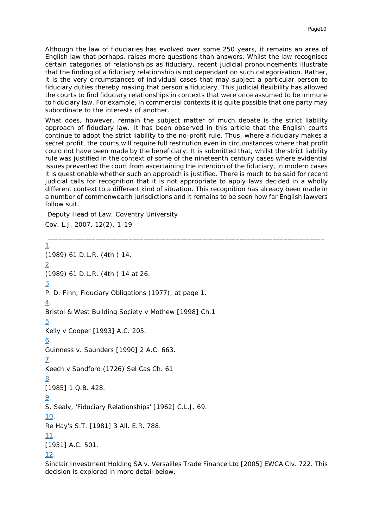Although the law of fiduciaries has evolved over some 250 years, it remains an area of English law that perhaps, raises more questions than answers. Whilst the law recognises certain categories of relationships as fiduciary, recent judicial pronouncements illustrate that the finding of a fiduciary relationship is not dependant on such categorisation. Rather, it is the very circumstances of individual cases that may subject a particular person to fiduciary duties thereby making that person a fiduciary. This judicial flexibility has allowed the courts to find fiduciary relationships in contexts that were once assumed to be immune to fiduciary law. For example, in commercial contexts it is quite possible that one party may subordinate to the interests of another.

What does, however, remain the subject matter of much debate is the strict liability approach of fiduciary law. It has been observed in this article that the English courts continue to adopt the strict liability to the no-profit rule. Thus, where a fiduciary makes a secret profit, the courts will require full restitution even in circumstances where that profit could not have been made by the beneficiary. It is submitted that, whilst the strict liability rule was justified in the context of some of the nineteenth century cases where evidential issues prevented the court from ascertaining the intention of the fiduciary, in modern cases it is questionable whether such an approach is justified. There is much to be said for recent judicial calls for recognition that it is not appropriate to apply laws decided in a wholly different context to a different kind of situation. This recognition has already been made in a number of commonwealth jurisdictions and it remains to be seen how far English lawyers follow suit.

\_\_\_\_\_\_\_\_\_\_\_\_\_\_\_\_\_\_\_\_\_\_\_\_\_\_\_\_\_\_\_\_\_\_\_\_\_\_\_\_\_\_\_\_\_\_\_\_\_\_\_\_\_\_\_\_\_\_\_\_\_\_\_\_\_\_\_\_\_\_\_\_\_\_\_

Deputy Head of Law, Coventry University

Cov. L.J. 2007, 12(2), 1-19

<span id="page-10-5"></span><span id="page-10-4"></span><span id="page-10-3"></span><span id="page-10-2"></span><span id="page-10-1"></span><span id="page-10-0"></span>1. (1989) 61 D.L.R. (4th ) 14. 2. (1989) 61 D.L.R. (4th ) 14 at 26. 3. P. D. Finn, *Fiduciary Obligations* (1977), at page 1. 4. *Bristol & West Building Society v Mothew* [1998] Ch.1 5. *Kelly v Cooper* [1993] A.C. 205. 6. *Guinness v. Saunders* [1990] 2 A.C. 663. 7. *Keech v Sandford* (1726) Sel Cas Ch. 61 8. [1985] 1 Q.B. 428. 9. S. Sealy, 'Fiduciary Relationships' [1962] C.L.J. 69. 10. *Re Hay's S.T.* [1981] 3 All. E.R. 788. 11. [1951] A.C. 501. 12.

<span id="page-10-11"></span><span id="page-10-10"></span><span id="page-10-9"></span><span id="page-10-8"></span><span id="page-10-7"></span><span id="page-10-6"></span>*Sinclair Investment Holding SA v. Versailles Trade Finance Ltd* [2005] EWCA Civ. 722. This decision is explored in more detail below.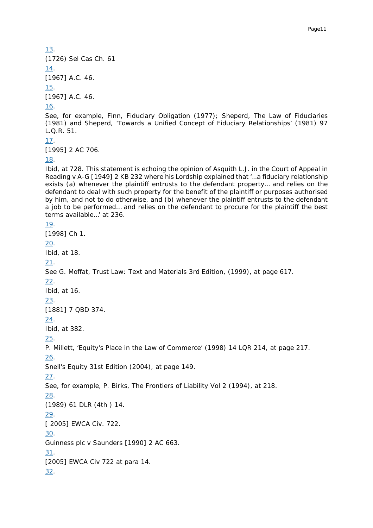<span id="page-11-0"></span>13.

<span id="page-11-1"></span>(1726) Sel Cas Ch. 61 14. [1967] A.C. 46. 15.

<span id="page-11-2"></span>[1967] A.C. 46.

# <span id="page-11-3"></span>16.

See, for example, Finn, *Fiduciary Obligation* (1977); Sheperd, *The Law of Fiduciaries* (1981) and Sheperd, 'Towards a Unified Concept of Fiduciary Relationships' (1981) 97 L.Q.R. 51.

# <span id="page-11-4"></span>17.

[1995] 2 AC 706.

### <span id="page-11-5"></span>18.

*Ibid,* at 728. This statement is echoing the opinion of Asquith L.J. in the Court of Appeal in *Reading v A-G* [1949] 2 KB 232 where his Lordship explained that '…a fiduciary relationship exists (a) whenever the plaintiff entrusts to the defendant property… and relies on the defendant to deal with such property for the benefit of the plaintiff or purposes authorised by him, and not to do otherwise, and (b) whenever the plaintiff entrusts to the defendant a job to be performed… and relies on the defendant to procure for the plaintiff the best terms available…' at 236.

# <span id="page-11-6"></span>19.

<span id="page-11-19"></span><span id="page-11-18"></span><span id="page-11-17"></span><span id="page-11-16"></span><span id="page-11-15"></span><span id="page-11-14"></span><span id="page-11-13"></span><span id="page-11-12"></span><span id="page-11-11"></span><span id="page-11-10"></span><span id="page-11-9"></span><span id="page-11-8"></span><span id="page-11-7"></span>[1998] Ch 1. 20. *Ibid,* at 18. 21. See G. Moffat, *Trust Law: Text and Materials* 3rd Edition, (1999), at page 617. 22. *Ibid,* at 16. 23. [1881] 7 QBD 374. 24. *Ibid,* at 382. 25. P. Millett, 'Equity's Place in the Law of Commerce' (1998) 14 LQR 214, at page 217. 26. *Snell's Equity* 31st Edition (2004), at page 149. 27. See, for example, P. Birks, *The Frontiers of Liability* Vol 2 (1994), at 218. 28. (1989) 61 DLR (4th ) 14. 29. [ 2005] EWCA Civ. 722. 30. *Guinness plc v Saunders* [1990] 2 AC 663. 31. [2005] EWCA Civ 722 at para 14. 32.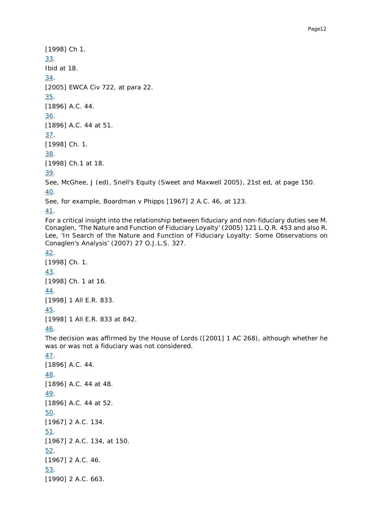<span id="page-12-20"></span><span id="page-12-19"></span><span id="page-12-18"></span><span id="page-12-17"></span><span id="page-12-16"></span><span id="page-12-15"></span><span id="page-12-14"></span><span id="page-12-13"></span><span id="page-12-12"></span><span id="page-12-11"></span><span id="page-12-10"></span><span id="page-12-9"></span><span id="page-12-8"></span><span id="page-12-7"></span><span id="page-12-6"></span><span id="page-12-5"></span><span id="page-12-4"></span><span id="page-12-3"></span><span id="page-12-2"></span><span id="page-12-1"></span><span id="page-12-0"></span>[1998] Ch 1. 33. *Ibid* at 18. 34. [2005] EWCA Civ 722, at para 22. 35. [1896] A.C. 44. 36. [1896] A.C. 44 at 51. 37. [1998] Ch. 1. 38. [1998] Ch.1 at 18. 39. See, McGhee, J (ed), *Snell's Equity* (Sweet and Maxwell 2005), 21st ed, at page 150. 40. See, for example, *Boardman v Phipps* [1967] 2 A.C. 46, at 123. 41. For a critical insight into the relationship between fiduciary and non-fiduciary duties see M. Conaglen, 'The Nature and Function of Fiduciary Loyalty' (2005) 121 L.Q.R. 453 and also R. Lee, 'In Search of the Nature and Function of Fiduciary Loyalty: Some Observations on Conaglen's Analysis' (2007) 27 O.J.L.S. 327. 42. [1998] Ch. 1. 43. [1998] Ch. 1 at 16. 44. [1998] 1 All E.R. 833. 45. [1998] 1 All E.R. 833 at 842. 46. The decision was affirmed by the House of Lords ([2001] 1 AC 268), although whether he was or was not a fiduciary was not considered. 47. [1896] A.C. 44. 48. [1896] A.C. 44 at 48. 49. [1896] A.C. 44 at 52. 50. [1967] 2 A.C. 134. 51. [1967] 2 A.C. 134, at 150. 52. [1967] 2 A.C. 46. 53. [1990] 2 A.C. 663.